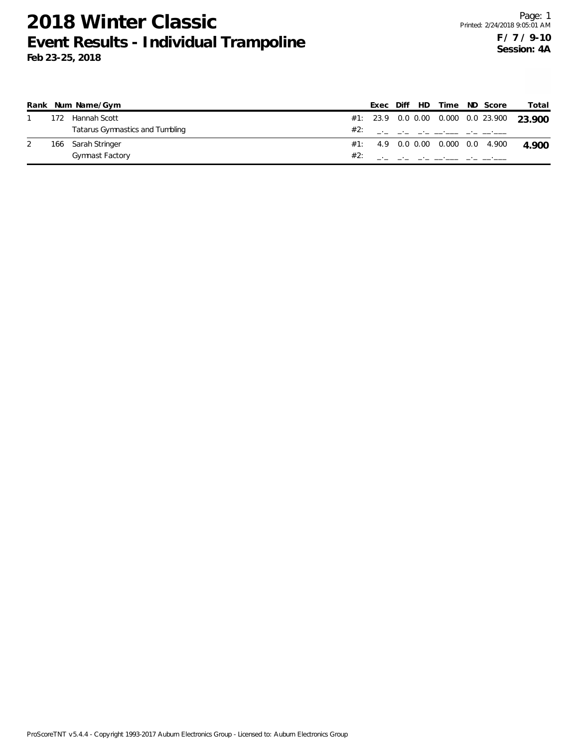|     | Rank Num Name/Gym               |  |  | Exec Diff HD Time ND Score |                                      | Total                                     |
|-----|---------------------------------|--|--|----------------------------|--------------------------------------|-------------------------------------------|
| 172 | Hannah Scott                    |  |  |                            |                                      | #1: 23.9 0.0 0.00 0.000 0.0 23.900 23.900 |
|     | Tatarus Gymnastics and Tumbling |  |  |                            | #2: ___ __ __ __ __ __ __ __         |                                           |
|     | 166 Sarah Stringer              |  |  |                            | $\#1$ : 4.9 0.0 0.00 0.000 0.0 4.900 | 4.900                                     |
|     | Gymnast Factory                 |  |  |                            |                                      |                                           |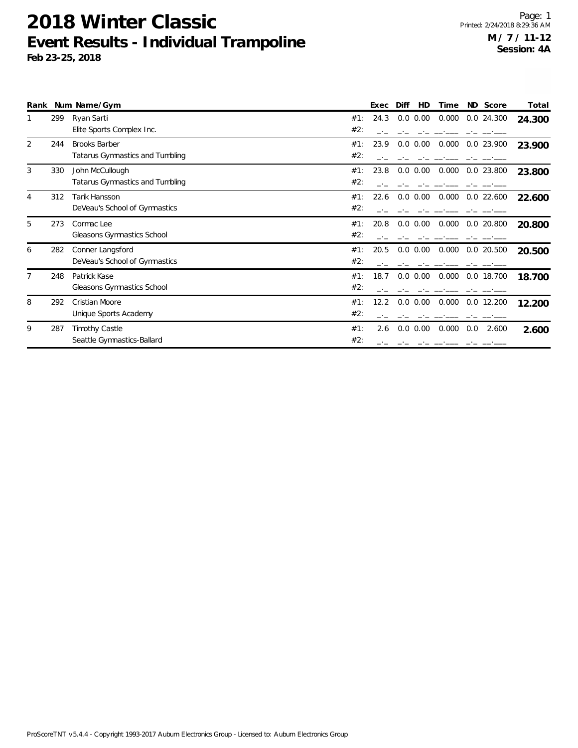|   |     | Rank Num Name/Gym               |     | Exec | Diff<br>HD  | Time  | ND Score     | Total  |
|---|-----|---------------------------------|-----|------|-------------|-------|--------------|--------|
|   | 299 | Ryan Sarti                      | #1: | 24.3 | $0.0\ 0.00$ | 0.000 | $0.0$ 24.300 | 24.300 |
|   |     | Elite Sports Complex Inc.       | #2: |      |             |       |              |        |
| 2 | 244 | <b>Brooks Barber</b>            | #1: | 23.9 | $0.0\ 0.00$ | 0.000 | 0.0 23.900   | 23.900 |
|   |     | Tatarus Gymnastics and Tumbling | #2: |      |             |       |              |        |
| 3 | 330 | John McCullough                 | #1: | 23.8 | $0.0\ 0.00$ | 0.000 | $0.0$ 23.800 | 23.800 |
|   |     | Tatarus Gymnastics and Tumbling | #2: |      |             |       |              |        |
| 4 | 312 | Tarik Hansson                   | #1: | 22.6 | $0.0\ 0.00$ | 0.000 | $0.0$ 22.600 | 22.600 |
|   |     | DeVeau's School of Gymnastics   | #2: |      |             |       |              |        |
| 5 | 273 | Cormac Lee                      | #1: | 20.8 | $0.0\ 0.00$ | 0.000 | $0.0$ 20.800 | 20.800 |
|   |     | Gleasons Gymnastics School      | #2: |      |             |       |              |        |
| 6 | 282 | Conner Langsford                | #1: | 20.5 | $0.0\ 0.00$ | 0.000 | 0.0 20.500   | 20.500 |
|   |     | DeVeau's School of Gymnastics   | #2: |      |             |       |              |        |
|   | 248 | Patrick Kase                    | #1: | 18.7 | $0.0\ 0.00$ | 0.000 | 0.0 18.700   | 18.700 |
|   |     | Gleasons Gymnastics School      | #2: |      |             |       |              |        |
| 8 | 292 | Cristian Moore                  | #1: | 12.2 | $0.0\ 0.00$ | 0.000 | $0.0$ 12.200 | 12.200 |
|   |     | Unique Sports Academy           | #2: |      |             |       |              |        |
| 9 | 287 | Timothy Castle                  | #1: | 2.6  | $0.0\ 0.00$ | 0.000 | 0.0<br>2.600 | 2.600  |
|   |     | Seattle Gymnastics-Ballard      | #2: |      |             |       |              |        |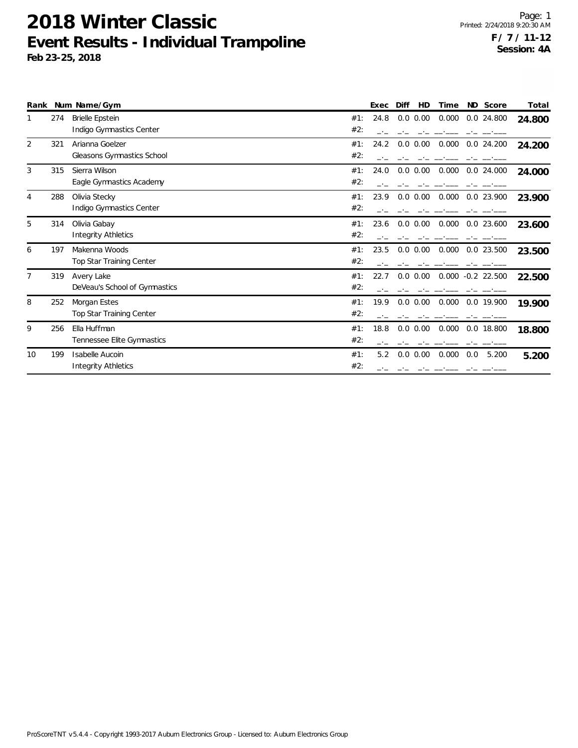| Rank |     | Num Name/Gym                                  |            | Exec | Diff<br>HD   | Time  | ND.<br>Score        | Total  |
|------|-----|-----------------------------------------------|------------|------|--------------|-------|---------------------|--------|
| 1    | 274 | Brielle Epstein<br>Indigo Gymnastics Center   | #1:<br>#2: | 24.8 | $0.0\ 0.00$  | 0.000 | 0.0 24.800          | 24.800 |
| 2    | 321 | Arianna Goelzer<br>Gleasons Gymnastics School | #1:<br>#2: | 24.2 | $0.0$ $0.00$ | 0.000 | 0.0 24.200          | 24.200 |
| 3    | 315 | Sierra Wilson<br>Eagle Gymnastics Academy     | #1:<br>#2: | 24.0 | $0.0\ 0.00$  | 0.000 | 0.0 24.000          | 24.000 |
| 4    | 288 | Olivia Stecky<br>Indigo Gymnastics Center     | #1:<br>#2: | 23.9 | 0.0 0.00     | 0.000 | $0.0$ 23.900        | 23.900 |
| 5    | 314 | Olivia Gabay<br><b>Integrity Athletics</b>    | #1:<br>#2: | 23.6 | 0.0 0.00     | 0.000 | 0.0 23.600          | 23.600 |
| 6    | 197 | Makenna Woods<br>Top Star Training Center     | #1:<br>#2: | 23.5 | $0.0\ 0.00$  | 0.000 | 0.0 23.500          | 23.500 |
| 7    | 319 | Avery Lake<br>DeVeau's School of Gymnastics   | #1:<br>#2: | 22.7 | 0.0 0.00     |       | $0.000 -0.2$ 22.500 | 22.500 |
| 8    | 252 | Morgan Estes<br>Top Star Training Center      | #1:<br>#2: | 19.9 | $0.0\ 0.00$  | 0.000 | 0.0 19.900          | 19.900 |
| 9    | 256 | Ella Huffman<br>Tennessee Elite Gymnastics    | #1:<br>#2: | 18.8 | 0.0 0.00     | 0.000 | 0.0 18.800          | 18.800 |
| 10   | 199 | Isabelle Aucoin<br>Integrity Athletics        | #1:<br>#2: | 5.2  | $0.0$ $0.00$ | 0.000 | 0.0<br>5.200        | 5.200  |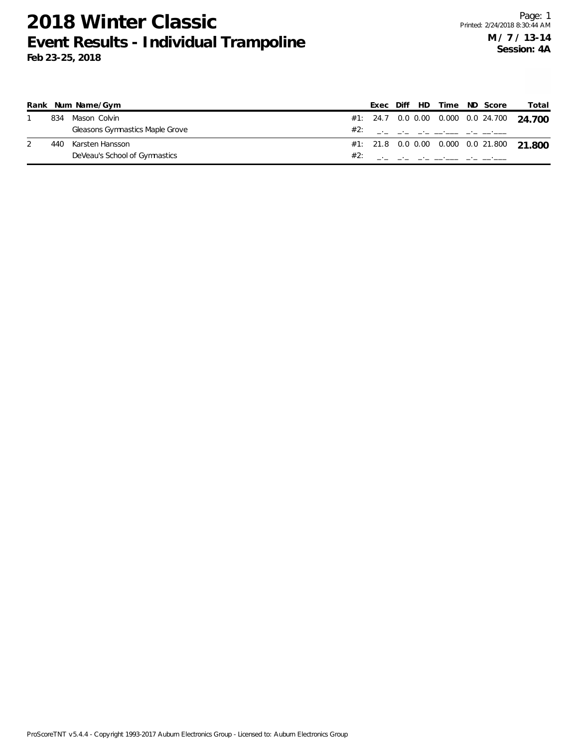|     | Rank Num Name/Gym               |     |  | Exec Diff HD Time ND Score |  | Total                                     |
|-----|---------------------------------|-----|--|----------------------------|--|-------------------------------------------|
| 834 | Mason Colvin                    |     |  |                            |  | #1: 24.7 0.0 0.00 0.000 0.0 24.700 24.700 |
|     | Gleasons Gymnastics Maple Grove |     |  | #2: ___ __ __ __ __ __ __  |  |                                           |
| 440 | Karsten Hansson                 |     |  |                            |  | #1: 21.8 0.0 0.00 0.000 0.0 21.800 21.800 |
|     | DeVeau's School of Gymnastics   | #2: |  |                            |  |                                           |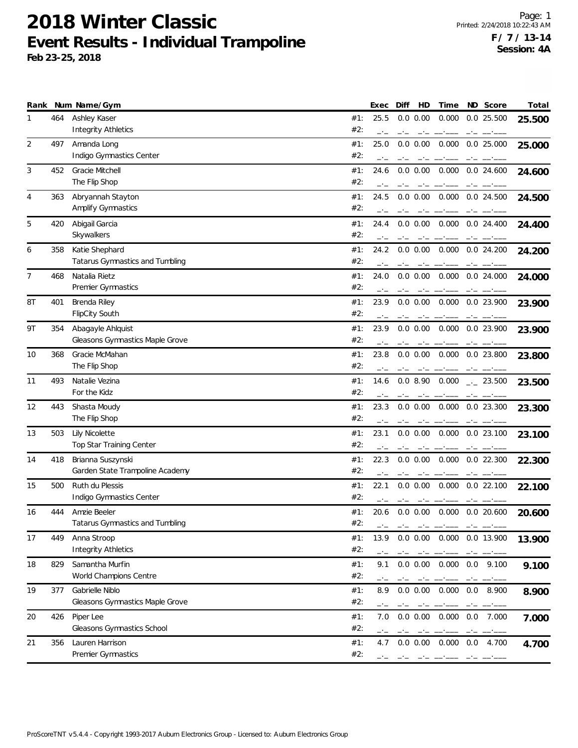|                |     | Rank Num Name/Gym                                    |            | Exec | Diff | HD                                                                                                                                                                                                                                                                                                                                                                                       | Time                      | <b>ND</b> | Score            | Total  |
|----------------|-----|------------------------------------------------------|------------|------|------|------------------------------------------------------------------------------------------------------------------------------------------------------------------------------------------------------------------------------------------------------------------------------------------------------------------------------------------------------------------------------------------|---------------------------|-----------|------------------|--------|
| ı              | 464 | Ashley Kaser                                         | #1:        | 25.5 |      | 0.0 0.00                                                                                                                                                                                                                                                                                                                                                                                 | 0.000                     |           | $0.0$ 25.500     | 25.500 |
|                |     | <b>Integrity Athletics</b>                           | #2:        | $-1$ | $-1$ |                                                                                                                                                                                                                                                                                                                                                                                          |                           |           |                  |        |
| 2              | 497 | Amanda Long                                          | #1:        | 25.0 |      | $0.0 \, 0.00$                                                                                                                                                                                                                                                                                                                                                                            | 0.000                     |           | $0.0$ 25.000     | 25.000 |
|                |     | Indigo Gymnastics Center                             | #2:        |      |      |                                                                                                                                                                                                                                                                                                                                                                                          |                           |           |                  |        |
| 3              | 452 | Gracie Mitchell                                      | #1:        | 24.6 |      | 0.0 0.00                                                                                                                                                                                                                                                                                                                                                                                 | 0.000                     |           | $0.0$ 24.600     | 24.600 |
|                |     | The Flip Shop                                        | #2:        |      |      |                                                                                                                                                                                                                                                                                                                                                                                          |                           |           |                  |        |
| 4              | 363 | Abryannah Stayton                                    | #1:        | 24.5 |      | $0.0 \, 0.00$                                                                                                                                                                                                                                                                                                                                                                            | 0.000                     |           | 0.0 24.500       | 24.500 |
|                |     | Amplify Gymnastics                                   | #2:        |      |      |                                                                                                                                                                                                                                                                                                                                                                                          |                           |           |                  |        |
| 5              | 420 | Abigail Garcia                                       | #1:        | 24.4 |      | $0.0 \, 0.00$                                                                                                                                                                                                                                                                                                                                                                            | 0.000                     |           | $0.0$ 24.400     | 24.400 |
|                |     | Skywalkers                                           | #2:        |      |      |                                                                                                                                                                                                                                                                                                                                                                                          |                           |           |                  |        |
| 6              | 358 | Katie Shephard                                       | #1:        | 24.2 |      | 0.0 0.00                                                                                                                                                                                                                                                                                                                                                                                 | 0.000  0.0  24.200        |           |                  | 24.200 |
|                |     | Tatarus Gymnastics and Tumbling                      | #2:        |      |      |                                                                                                                                                                                                                                                                                                                                                                                          |                           |           |                  |        |
| $\overline{7}$ | 468 | Natalia Rietz                                        | #1:        | 24.0 |      | 0.0 0.00                                                                                                                                                                                                                                                                                                                                                                                 | 0.000                     |           | 0.0 24.000       | 24.000 |
|                |     | Premier Gymnastics                                   | #2:        |      |      |                                                                                                                                                                                                                                                                                                                                                                                          |                           |           |                  |        |
| 8T             | 401 | Brenda Riley                                         | #1:        | 23.9 | $-1$ | 0.0 0.00                                                                                                                                                                                                                                                                                                                                                                                 | 0.000                     |           | 0.0 23.900       |        |
|                |     | <b>FlipCity South</b>                                | #2:        |      |      |                                                                                                                                                                                                                                                                                                                                                                                          |                           |           |                  | 23.900 |
|                |     |                                                      |            |      |      |                                                                                                                                                                                                                                                                                                                                                                                          |                           |           |                  |        |
| 9T             | 354 | Abagayle Ahlquist<br>Gleasons Gymnastics Maple Grove | #1:<br>#2: | 23.9 |      | $0.0 \, 0.00$                                                                                                                                                                                                                                                                                                                                                                            | 0.000                     |           | 0.0 23.900       | 23.900 |
|                |     |                                                      |            |      |      |                                                                                                                                                                                                                                                                                                                                                                                          |                           |           |                  |        |
| 10             | 368 | Gracie McMahan                                       | #1:<br>#2: | 23.8 |      | $0.0 \, 0.00$                                                                                                                                                                                                                                                                                                                                                                            | 0.000                     |           | 0.0 23.800       | 23.800 |
|                |     | The Flip Shop                                        |            |      |      |                                                                                                                                                                                                                                                                                                                                                                                          |                           |           |                  |        |
| 11             | 493 | Natalie Vezina                                       | #1:        | 14.6 |      | 0.08.90                                                                                                                                                                                                                                                                                                                                                                                  | 0.000                     |           | $-23.500$        | 23.500 |
|                |     | For the Kidz                                         | #2:        |      |      |                                                                                                                                                                                                                                                                                                                                                                                          |                           |           |                  |        |
| 12             | 443 | Shasta Moudy                                         | #1:        | 23.3 |      | 0.0 0.00                                                                                                                                                                                                                                                                                                                                                                                 |                           |           | 0.000 0.0 23.300 | 23.300 |
|                |     | The Flip Shop                                        | #2:        |      |      |                                                                                                                                                                                                                                                                                                                                                                                          |                           |           |                  |        |
| 13             | 503 | Lily Nicolette                                       | #1:        | 23.1 |      | $0.0 \, 0.00$                                                                                                                                                                                                                                                                                                                                                                            | 0.000                     |           | $0.0$ 23.100     | 23.100 |
|                |     | Top Star Training Center                             | #2:        |      |      |                                                                                                                                                                                                                                                                                                                                                                                          |                           |           |                  |        |
| 14             | 418 | Brianna Suszynski                                    | #1:        | 22.3 |      | 0.0 0.00                                                                                                                                                                                                                                                                                                                                                                                 | 0.000                     |           | $0.0$ 22.300     | 22.300 |
|                |     | Garden State Trampoline Academy                      | #2:        |      |      |                                                                                                                                                                                                                                                                                                                                                                                          |                           |           |                  |        |
| 15             | 500 | Ruth du Plessis                                      | #1:        | 22.1 |      | 0.0 0.00                                                                                                                                                                                                                                                                                                                                                                                 | 0.000                     |           | 0.022.100        | 22.100 |
|                |     | Indigo Gymnastics Center                             | #2:        |      | $-1$ | $-1$                                                                                                                                                                                                                                                                                                                                                                                     |                           |           |                  |        |
| 16             | 444 | Amzie Beeler                                         | #1:        | 20.6 |      | 0.0 0.00                                                                                                                                                                                                                                                                                                                                                                                 | 0.000                     |           | 0.0 20.600       | 20.600 |
|                |     | Tatarus Gymnastics and Tumbling                      | #2:        |      |      |                                                                                                                                                                                                                                                                                                                                                                                          |                           |           |                  |        |
| 17             | 449 | Anna Stroop                                          | #1:        | 13.9 |      |                                                                                                                                                                                                                                                                                                                                                                                          | 0.0 0.00 0.000 0.0 13.900 |           |                  | 13.900 |
|                |     | <b>Integrity Athletics</b>                           | #2:        |      |      |                                                                                                                                                                                                                                                                                                                                                                                          |                           |           |                  |        |
| 18             | 829 | Samantha Murfin                                      | #1:        | 9.1  |      | $0.0 \, 0.00$                                                                                                                                                                                                                                                                                                                                                                            | 0.000                     | 0.0       | 9.100            | 9.100  |
|                |     | World Champions Centre                               | #2:        |      |      |                                                                                                                                                                                                                                                                                                                                                                                          |                           |           |                  |        |
| 19             | 377 | Gabrielle Niblo                                      | #1:        | 8.9  |      | $0.0 \, 0.00$                                                                                                                                                                                                                                                                                                                                                                            | 0.000                     | 0.0       | 8.900            | 8.900  |
|                |     | Gleasons Gymnastics Maple Grove                      | #2:        |      |      | $\mathcal{L}^{(1)}\mathcal{L}^{(2)}\mathcal{L}^{(1)}\mathcal{L}^{(2)}\mathcal{L}^{(1)}\mathcal{L}^{(2)}\mathcal{L}^{(1)}\mathcal{L}^{(2)}\mathcal{L}^{(1)}\mathcal{L}^{(2)}\mathcal{L}^{(1)}\mathcal{L}^{(2)}\mathcal{L}^{(1)}\mathcal{L}^{(2)}\mathcal{L}^{(1)}\mathcal{L}^{(2)}\mathcal{L}^{(1)}\mathcal{L}^{(1)}\mathcal{L}^{(1)}\mathcal{L}^{(1)}\mathcal{L}^{(1)}\mathcal{L}^{(1)}$ |                           | $-1$      |                  |        |
| 20             | 426 | Piper Lee                                            | #1:        | 7.0  |      | 0.0 0.00                                                                                                                                                                                                                                                                                                                                                                                 | 0.000                     | 0.0       | 7.000            | 7.000  |
|                |     | Gleasons Gymnastics School                           | #2:        |      |      |                                                                                                                                                                                                                                                                                                                                                                                          |                           |           |                  |        |
| 21             | 356 | Lauren Harrison                                      | #1:        | 4.7  |      |                                                                                                                                                                                                                                                                                                                                                                                          | $0.0$ $0.00$ $0.000$      | 0.0       | 4.700            |        |
|                |     | Premier Gymnastics                                   | #2:        |      |      |                                                                                                                                                                                                                                                                                                                                                                                          |                           |           |                  | 4.700  |
|                |     |                                                      |            |      |      |                                                                                                                                                                                                                                                                                                                                                                                          |                           |           |                  |        |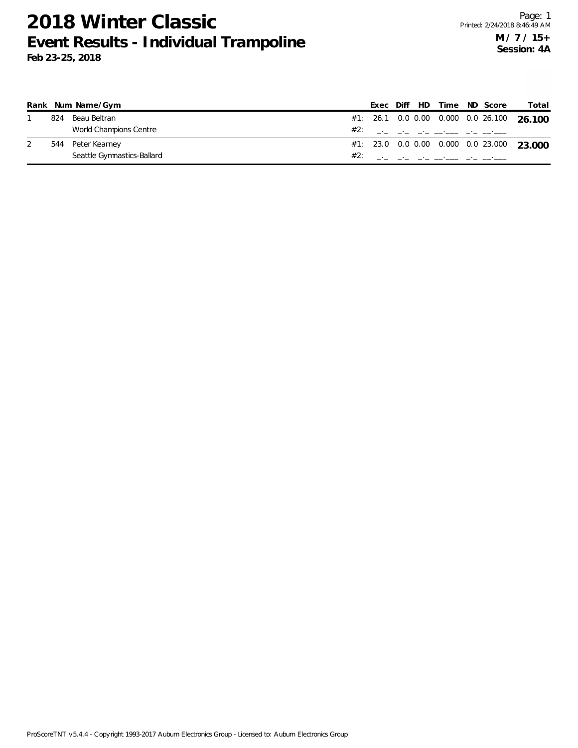|     | Rank Num Name/Gym          |     |  | Exec Diff HD Time ND Score |                             | Total                                     |
|-----|----------------------------|-----|--|----------------------------|-----------------------------|-------------------------------------------|
| 824 | Beau Beltran               |     |  |                            |                             | #1: 26.1 0.0 0.00 0.000 0.0 26.100 26.100 |
|     | World Champions Centre     |     |  |                            | #2: ___ __ __ __ ___ ___ __ |                                           |
|     | 544 Peter Kearney          |     |  |                            |                             | #1: 23.0 0.0 0.00 0.000 0.0 23.000 23.000 |
|     | Seattle Gymnastics-Ballard | #2: |  |                            |                             |                                           |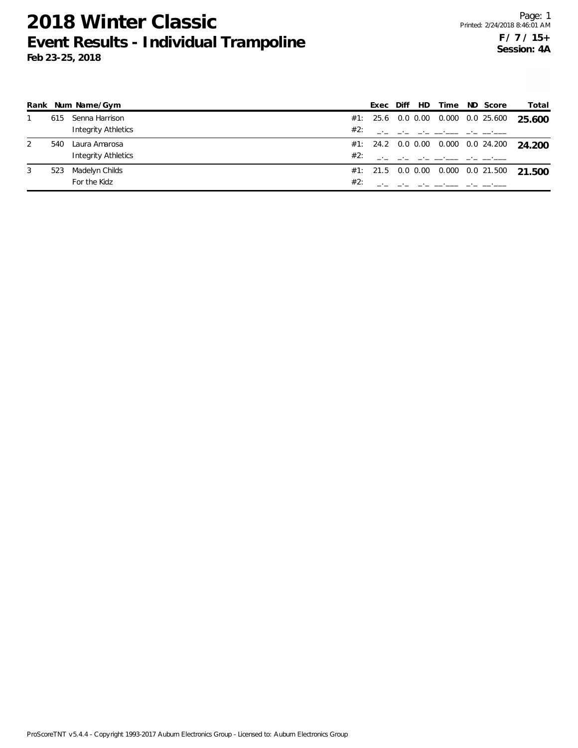|   |     | Rank Num Name/Gym          |     | Exec |  | Diff HD Time | ND Score                               | Total  |
|---|-----|----------------------------|-----|------|--|--------------|----------------------------------------|--------|
|   | 615 | Senna Harrison             |     |      |  |              | #1: 25.6 0.0 0.00 0.000 0.0 25.600     | 25.600 |
|   |     | <b>Integrity Athletics</b> | #2: |      |  |              |                                        |        |
| 2 | 540 | Laura Amarosa              |     |      |  |              | $\#1$ : 24.2 0.0 0.00 0.000 0.0 24.200 | 24.200 |
|   |     | <b>Integrity Athletics</b> | #2: |      |  |              |                                        |        |
| 3 | 523 | Madelyn Childs             |     |      |  |              | $\#1$ : 21.5 0.0 0.00 0.000 0.0 21.500 | 21.500 |
|   |     | For the Kidz               | #2: |      |  |              |                                        |        |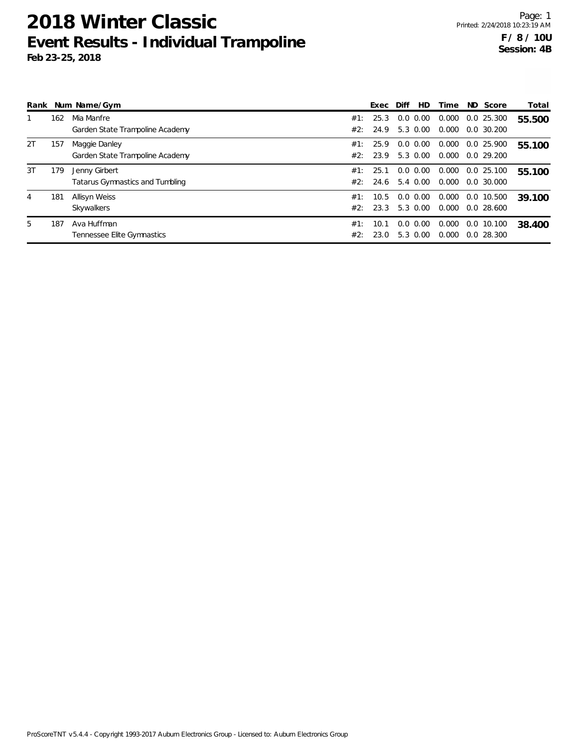| Rank |     | Num Name/Gym                    |     | Exec | Diff | HD          | Time  |     | ND Score      | Total  |
|------|-----|---------------------------------|-----|------|------|-------------|-------|-----|---------------|--------|
|      | 162 | Mia Manfre                      | #1: | 25.3 | 0.0  | 0.00        | 0.000 | 0.0 | 25.300        | 55.500 |
|      |     | Garden State Trampoline Academy | #2: | 24.9 |      | 5.3 0.00    | 0.000 |     | $0.0\,30.200$ |        |
| 2T   | 157 | Maggie Danley                   | #1: | 25.9 | 0.0  | 0.00        | 0.000 |     | 0.0 25.900    | 55.100 |
|      |     | Garden State Trampoline Academy | #2: | 23.9 |      | 5.3 0.00    | 0.000 |     | $0.0$ 29.200  |        |
| 3T   | 179 | Jenny Girbert                   | #1: | 25.1 | 0.0  | 0.00        | 0.000 |     | 0.0 25.100    | 55.100 |
|      |     | Tatarus Gymnastics and Tumbling | #2: | 24.6 |      | 5.4 0.00    | 0.000 |     | 0.0, 30.000   |        |
| 4    | 181 | Allisyn Weiss                   | #1: | 10.5 |      | $0.0\ 0.00$ | 0.000 |     | 0.0 10.500    | 39.100 |
|      |     | Skywalkers                      | #2: | 23.3 |      | 5.3 0.00    | 0.000 |     | 0.028.600     |        |
| 5    | 187 | Ava Huffman                     | #1: | 10.1 | 0.0  | 0.00        | 0.000 |     | 0.0 10.100    | 38.400 |
|      |     | Tennessee Elite Gymnastics      | #2: | 23.0 |      | 5.3 0.00    | 0.000 |     | $0.0$ 28.300  |        |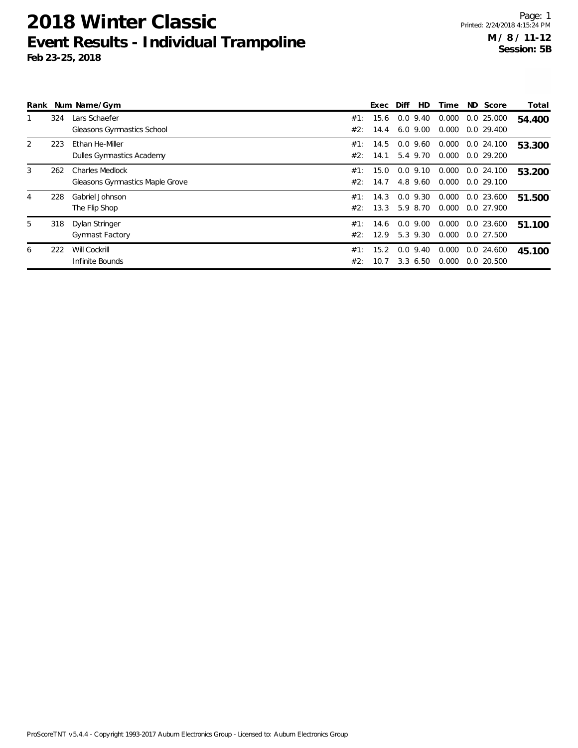| Rank |     | Num Name/Gym                    |     | Exec | Diff        | HD       | Time  | ND Score         | Total  |
|------|-----|---------------------------------|-----|------|-------------|----------|-------|------------------|--------|
|      | 324 | Lars Schaefer                   | #1: | 15.6 | $0.0$ 9.40  |          | 0.000 | 0.025.000        | 54.400 |
|      |     | Gleasons Gymnastics School      | #2: | 14.4 | 6.0, 9.00   |          | 0.000 | $0.0$ 29.400     |        |
| 2    | 223 | Ethan He-Miller                 | #1: | 14.5 | $0.0$ 9.60  |          | 0.000 | $0.0$ 24.100     | 53.300 |
|      |     | Dulles Gymnastics Academy       | #2: | 14.1 | 5.4 9.70    |          | 0.000 | 0.0 29.200       |        |
| 3    | 262 | Charles Medlock                 | #1: | 15.0 | $0.0$ 9.10  |          | 0.000 | $0.0$ 24.100     | 53.200 |
|      |     | Gleasons Gymnastics Maple Grove | #2: | 14.7 |             | 4.8 9.60 | 0.000 | 0.029.100        |        |
| 4    | 228 | Gabriel Johnson                 | #1: | 14.3 | $0.0$ 9.30  |          |       | 0.000 0.0 23.600 | 51.500 |
|      |     | The Flip Shop                   | #2: | 13.3 | 5.9 8.70    |          | 0.000 | 0.0 27.900       |        |
| 5    | 318 | Dylan Stringer                  | #1: | 14.6 | $0.0$ 9.00  |          | 0.000 | 0.0 23.600       | 51.100 |
|      |     | <b>Gymnast Factory</b>          | #2: | 12.9 | 5.3 9.30    |          | 0.000 | 0.0 27.500       |        |
| 6    | 222 | Will Cockrill                   | #1: | 15.2 | 0.0         | 9.40     | 0.000 | $0.0$ 24.600     | 45.100 |
|      |     | Infinite Bounds                 | #2: | 10.7 | $3.3\;6.50$ |          | 0.000 | 0.020.500        |        |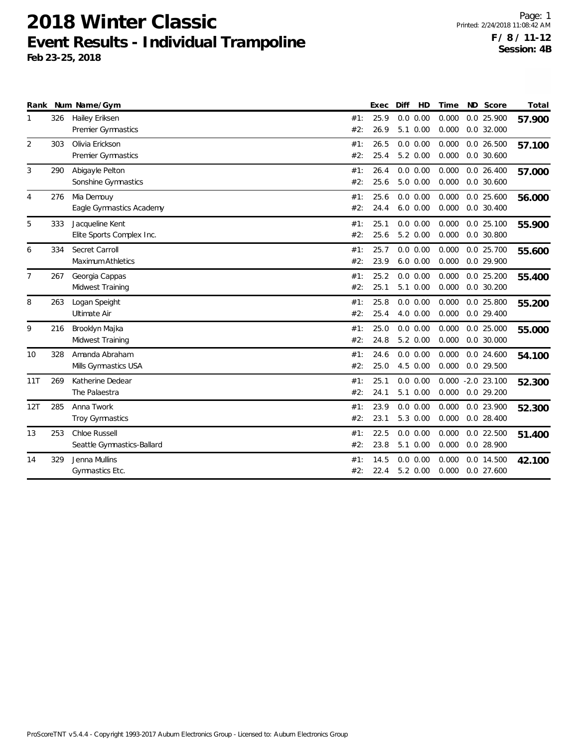| Rank |     | Num Name/Gym                                 |            | Exec         | Diff                      | HD | Time           | ND Score                      | Total  |
|------|-----|----------------------------------------------|------------|--------------|---------------------------|----|----------------|-------------------------------|--------|
| 1    | 326 | Hailey Eriksen<br>Premier Gymnastics         | #1:<br>#2: | 25.9<br>26.9 | 0.0 0.00<br>5.1 0.00      |    | 0.000<br>0.000 | 0.0 25.900<br>$0.0$ 32.000    | 57.900 |
| 2    | 303 | Olivia Erickson<br>Premier Gymnastics        | #1:<br>#2: | 26.5<br>25.4 | 0.0 0.00<br>5.2 0.00      |    | 0.000<br>0.000 | $0.0$ 26.500<br>$0.0$ 30.600  | 57.100 |
| 3    | 290 | Abigayle Pelton<br>Sonshine Gymnastics       | #1:<br>#2: | 26.4<br>25.6 | 0.0 0.00<br>$5.0 \t 0.00$ |    | 0.000<br>0.000 | $0.0$ 26.400<br>$0.0$ 30.600  | 57.000 |
| 4    | 276 | Mia Demouy<br>Eagle Gymnastics Academy       | #1:<br>#2: | 25.6<br>24.4 | 0.0 0.00<br>$6.0\ 0.00$   |    | 0.000<br>0.000 | $0.0$ 25.600<br>$0.0$ 30.400  | 56.000 |
| 5    | 333 | Jacqueline Kent<br>Elite Sports Complex Inc. | #1:<br>#2: | 25.1<br>25.6 | 0.0 0.00<br>5.2 0.00      |    | 0.000<br>0.000 | $0.0$ 25.100<br>$0.0$ 30.800  | 55.900 |
| 6    | 334 | Secret Carroll<br>Maximum Athletics          | #1:<br>#2: | 25.7<br>23.9 | 0.0 0.00<br>$6.0\ 0.00$   |    | 0.000<br>0.000 | 0.0 25.700<br>0.0 29.900      | 55.600 |
| 7    | 267 | Georgia Cappas<br>Midwest Training           | #1:<br>#2: | 25.2<br>25.1 | 0.0 0.00<br>5.1 0.00      |    | 0.000<br>0.000 | $0.0$ 25.200<br>$0.0$ 30.200  | 55.400 |
| 8    | 263 | Logan Speight<br>Ultimate Air                | #1:<br>#2: | 25.8<br>25.4 | 0.0 0.00<br>4.0 0.00      |    | 0.000<br>0.000 | $0.0$ 25.800<br>$0.0$ 29.400  | 55.200 |
| 9    | 216 | Brooklyn Majka<br>Midwest Training           | #1:<br>#2: | 25.0<br>24.8 | $0.0$ $0.00$<br>5.2 0.00  |    | 0.000<br>0.000 | $0.0$ 25.000<br>$0.0$ 30.000  | 55.000 |
| 10   | 328 | Amanda Abraham<br>Mills Gymnastics USA       | #1:<br>#2: | 24.6<br>25.0 | 0.0 0.00<br>4.5 0.00      |    | 0.000<br>0.000 | $0.0$ 24.600<br>0.0 29.500    | 54.100 |
| 11T  | 269 | Katherine Dedear<br>The Palaestra            | #1:<br>#2: | 25.1<br>24.1 | 0.0 0.00<br>5.1 0.00      |    | 0.000<br>0.000 | $-2.0$ 23.100<br>$0.0$ 29.200 | 52.300 |
| 12T  | 285 | Anna Twork<br>Troy Gymnastics                | #1:<br>#2: | 23.9<br>23.1 | 0.0 0.00<br>5.3 0.00      |    | 0.000<br>0.000 | 0.0 23.900<br>$0.0$ 28.400    | 52.300 |
| 13   | 253 | Chloe Russell<br>Seattle Gymnastics-Ballard  | #1:<br>#2: | 22.5<br>23.8 | 0.0 0.00<br>5.1 0.00      |    | 0.000<br>0.000 | 0.0 22.500<br>$0.0$ 28.900    | 51.400 |
| 14   | 329 | Jenna Mullins<br>Gymnastics Etc.             | #1:<br>#2: | 14.5<br>22.4 | 0.0 0.00<br>5.2 0.00      |    | 0.000<br>0.000 | 0.0 14.500<br>$0.0$ 27.600    | 42.100 |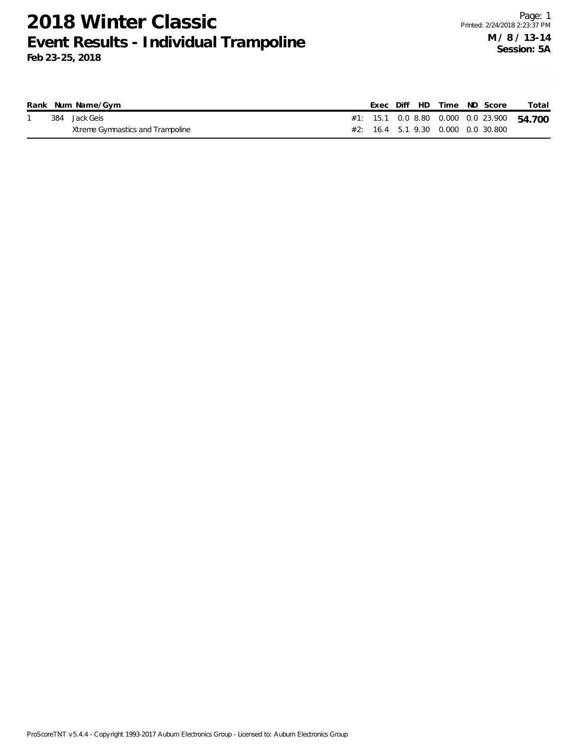|  | Rank Num Name/Gym                |  |  | Exec Diff HD Time ND Score                | Total |
|--|----------------------------------|--|--|-------------------------------------------|-------|
|  | 384 Jack Geis                    |  |  | #1: 15.1 0.0 8.80 0.000 0.0 23.900 54.700 |       |
|  | Xtreme Gymnastics and Trampoline |  |  | #2: 16.4 5.1 9.30 0.000 0.0 30.800        |       |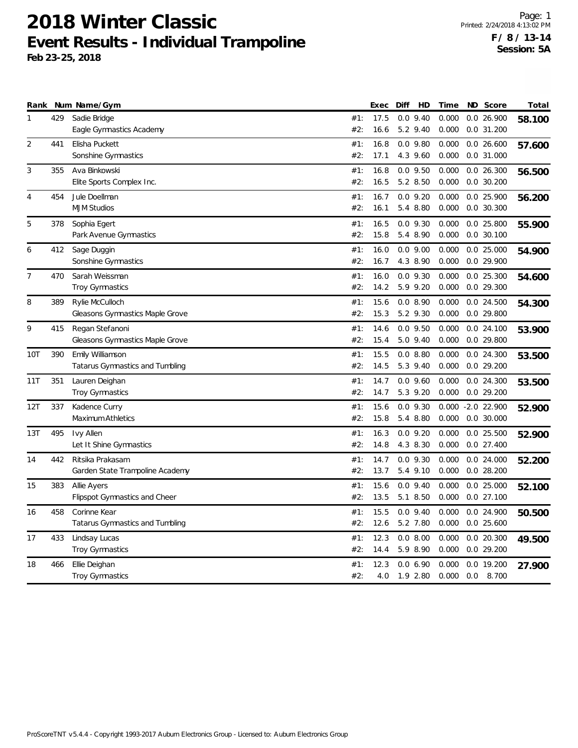| 17.5<br>9.40<br>0.000<br>0.0 26.900<br>$\mathbf{1}$<br>429<br>Sadie Bridge<br>#1:<br>0.0<br>58.100<br>Eagle Gymnastics Academy<br>#2:<br>16.6<br>5.2 9.40<br>0.000<br>0.0 31.200<br>$\overline{2}$<br>$0.0$ 9.80<br>0.000<br>441<br>Elisha Puckett<br>#1:<br>16.8<br>$0.0$ 26.600<br>57.600<br>Sonshine Gymnastics<br>#2:<br>17.1<br>4.3 9.60<br>0.000<br>0.0 31.000<br>3<br>Ava Binkowski<br>16.8<br>$0.0$ 9.50<br>0.000<br>355<br>#1:<br>$0.0$ 26.300<br>56.500<br>#2:<br>16.5<br>5.2 8.50<br>0.000<br>$0.0$ 30.200<br>Elite Sports Complex Inc.<br>454<br>Jule Doellman<br>16.7<br>$0.0$ 9.20<br>0.000<br>$0.0$ 25.900<br>$\overline{4}$<br>#1:<br>56.200<br><b>MJM Studios</b><br>#2:<br>5.4 8.80<br>0.000<br>$0.0$ 30.300<br>16.1<br>5<br>378<br>#1:<br>16.5<br>$0.0$ $9.30$<br>0.000<br>0.0 25.800<br>Sophia Egert<br>55.900<br>#2:<br>15.8<br>5.4 8.90<br>0.000<br>$0.0$ 30.100<br>Park Avenue Gymnastics<br>412<br>Sage Duggin<br>16.0<br>$0.0$ $9.00$<br>0.000<br>$0.0$ 25.000<br>6<br>#1:<br>54.900<br>0.0 29.900<br>Sonshine Gymnastics<br>#2:<br>16.7<br>4.3 8.90<br>0.000<br>470<br>Sarah Weissman<br>#1:<br>16.0<br>$0.0$ $9.30$<br>0.000<br>$0.0$ 25.300<br>7<br>54.600<br>#2:<br>5.9 9.20<br>0.000<br>0.0 29.300<br>Troy Gymnastics<br>14.2<br>8<br>389<br>Rylie McCulloch<br>#1:<br>15.6<br>0.0 8.90<br>0.000<br>0.0 24.500<br>54.300<br>Gleasons Gymnastics Maple Grove<br>#2:<br>15.3<br>5.2 9.30<br>0.000<br>0.0 29.800<br>9<br>Regan Stefanoni<br>14.6<br>$0.0$ $9.50$<br>0.000<br>415<br>#1:<br>$0.0$ 24.100<br>53.900<br>#2:<br>15.4<br>5.0 9.40<br>0.000<br>0.0 29.800<br>Gleasons Gymnastics Maple Grove<br>390<br>Emily Williamson<br>15.5<br>0.0 8.80<br>0.000<br>0.024.300<br>10T<br>#1:<br>53.500<br>Tatarus Gymnastics and Tumbling<br>#2:<br>14.5<br>5.3 9.40<br>0.000<br>$0.0$ 29.200<br>351<br>Lauren Deighan<br>#1:<br>14.7<br>$0.0$ 9.60<br>0.000<br>0.024.300<br>11T<br>53.500<br><b>Troy Gymnastics</b><br>#2:<br>14.7<br>5.3 9.20<br>0.000<br>$0.0$ 29.200<br>337<br>#1:<br>15.6<br>$0.0$ $9.30$<br>0.000<br>$-2.0$ 22.900<br>12T<br>Kadence Curry<br>52.900<br>#2:<br>15.8<br>5.4 8.80<br>$0.0$ 30.000<br>Maximum Athletics<br>0.000<br>$0.0$ 9.20<br>0.000<br>495<br>Ivy Allen<br>16.3<br>$0.0$ 25.500<br>13T<br>#1:<br>52.900<br>Let It Shine Gymnastics<br>#2:<br>14.8<br>4.3 8.30<br>0.000<br>$0.0$ 27.400<br>442<br>Ritsika Prakasam<br>#1:<br>14.7<br>$0.0$ $9.30$<br>0.000<br>$0.0$ 24.000<br>14<br>52.200<br>Garden State Trampoline Academy<br>#2:<br>13.7<br>5.4 9.10<br>0.000<br>$0.0$ 28.200<br>$0.0$ 9.40<br>15<br>383<br>Allie Ayers<br>#1:<br>15.6<br>0.000<br>$0.0$ 25.000<br>52.100<br>Flipspot Gymnastics and Cheer<br>#2:<br>13.5<br>5.1 8.50<br>0.000<br>$0.0$ 27.100<br>458<br>Corinne Kear<br>15.5<br>$0.0$ 9.40<br>0.000<br>0.0 24.900<br>#1:<br>16<br>50.500<br>$0.0$ 25.600<br>#2:<br>12.6<br>5.2 7.80<br>0.000<br>Tatarus Gymnastics and Tumbling<br>433<br>Lindsay Lucas<br>12.3<br>0.0 8.00<br>0.000<br>$0.0$ 20.300<br>17<br>#1:<br>49.500<br><b>Troy Gymnastics</b><br>$0.0$ 29.200<br>#2:<br>14.4<br>5.9 8.90<br>0.000<br>466<br>Ellie Deighan<br>12.3<br>0.06.90<br>0.0 19.200<br>18<br>#1:<br>0.000<br>27.900 |  | Rank Num Name/Gym | Exec | Diff<br>HD | Time | ND Score | Total |
|---------------------------------------------------------------------------------------------------------------------------------------------------------------------------------------------------------------------------------------------------------------------------------------------------------------------------------------------------------------------------------------------------------------------------------------------------------------------------------------------------------------------------------------------------------------------------------------------------------------------------------------------------------------------------------------------------------------------------------------------------------------------------------------------------------------------------------------------------------------------------------------------------------------------------------------------------------------------------------------------------------------------------------------------------------------------------------------------------------------------------------------------------------------------------------------------------------------------------------------------------------------------------------------------------------------------------------------------------------------------------------------------------------------------------------------------------------------------------------------------------------------------------------------------------------------------------------------------------------------------------------------------------------------------------------------------------------------------------------------------------------------------------------------------------------------------------------------------------------------------------------------------------------------------------------------------------------------------------------------------------------------------------------------------------------------------------------------------------------------------------------------------------------------------------------------------------------------------------------------------------------------------------------------------------------------------------------------------------------------------------------------------------------------------------------------------------------------------------------------------------------------------------------------------------------------------------------------------------------------------------------------------------------------------------------------------------------------------------------------------------------------------------------------------------------------------------------------------------------------------------------------------------------------------------------------------------------------------------------------------------------------------------------------------------------------------------------------------------------------------------------------------------------------------------------------|--|-------------------|------|------------|------|----------|-------|
|                                                                                                                                                                                                                                                                                                                                                                                                                                                                                                                                                                                                                                                                                                                                                                                                                                                                                                                                                                                                                                                                                                                                                                                                                                                                                                                                                                                                                                                                                                                                                                                                                                                                                                                                                                                                                                                                                                                                                                                                                                                                                                                                                                                                                                                                                                                                                                                                                                                                                                                                                                                                                                                                                                                                                                                                                                                                                                                                                                                                                                                                                                                                                                                       |  |                   |      |            |      |          |       |
|                                                                                                                                                                                                                                                                                                                                                                                                                                                                                                                                                                                                                                                                                                                                                                                                                                                                                                                                                                                                                                                                                                                                                                                                                                                                                                                                                                                                                                                                                                                                                                                                                                                                                                                                                                                                                                                                                                                                                                                                                                                                                                                                                                                                                                                                                                                                                                                                                                                                                                                                                                                                                                                                                                                                                                                                                                                                                                                                                                                                                                                                                                                                                                                       |  |                   |      |            |      |          |       |
|                                                                                                                                                                                                                                                                                                                                                                                                                                                                                                                                                                                                                                                                                                                                                                                                                                                                                                                                                                                                                                                                                                                                                                                                                                                                                                                                                                                                                                                                                                                                                                                                                                                                                                                                                                                                                                                                                                                                                                                                                                                                                                                                                                                                                                                                                                                                                                                                                                                                                                                                                                                                                                                                                                                                                                                                                                                                                                                                                                                                                                                                                                                                                                                       |  |                   |      |            |      |          |       |
|                                                                                                                                                                                                                                                                                                                                                                                                                                                                                                                                                                                                                                                                                                                                                                                                                                                                                                                                                                                                                                                                                                                                                                                                                                                                                                                                                                                                                                                                                                                                                                                                                                                                                                                                                                                                                                                                                                                                                                                                                                                                                                                                                                                                                                                                                                                                                                                                                                                                                                                                                                                                                                                                                                                                                                                                                                                                                                                                                                                                                                                                                                                                                                                       |  |                   |      |            |      |          |       |
|                                                                                                                                                                                                                                                                                                                                                                                                                                                                                                                                                                                                                                                                                                                                                                                                                                                                                                                                                                                                                                                                                                                                                                                                                                                                                                                                                                                                                                                                                                                                                                                                                                                                                                                                                                                                                                                                                                                                                                                                                                                                                                                                                                                                                                                                                                                                                                                                                                                                                                                                                                                                                                                                                                                                                                                                                                                                                                                                                                                                                                                                                                                                                                                       |  |                   |      |            |      |          |       |
|                                                                                                                                                                                                                                                                                                                                                                                                                                                                                                                                                                                                                                                                                                                                                                                                                                                                                                                                                                                                                                                                                                                                                                                                                                                                                                                                                                                                                                                                                                                                                                                                                                                                                                                                                                                                                                                                                                                                                                                                                                                                                                                                                                                                                                                                                                                                                                                                                                                                                                                                                                                                                                                                                                                                                                                                                                                                                                                                                                                                                                                                                                                                                                                       |  |                   |      |            |      |          |       |
|                                                                                                                                                                                                                                                                                                                                                                                                                                                                                                                                                                                                                                                                                                                                                                                                                                                                                                                                                                                                                                                                                                                                                                                                                                                                                                                                                                                                                                                                                                                                                                                                                                                                                                                                                                                                                                                                                                                                                                                                                                                                                                                                                                                                                                                                                                                                                                                                                                                                                                                                                                                                                                                                                                                                                                                                                                                                                                                                                                                                                                                                                                                                                                                       |  |                   |      |            |      |          |       |
|                                                                                                                                                                                                                                                                                                                                                                                                                                                                                                                                                                                                                                                                                                                                                                                                                                                                                                                                                                                                                                                                                                                                                                                                                                                                                                                                                                                                                                                                                                                                                                                                                                                                                                                                                                                                                                                                                                                                                                                                                                                                                                                                                                                                                                                                                                                                                                                                                                                                                                                                                                                                                                                                                                                                                                                                                                                                                                                                                                                                                                                                                                                                                                                       |  |                   |      |            |      |          |       |
|                                                                                                                                                                                                                                                                                                                                                                                                                                                                                                                                                                                                                                                                                                                                                                                                                                                                                                                                                                                                                                                                                                                                                                                                                                                                                                                                                                                                                                                                                                                                                                                                                                                                                                                                                                                                                                                                                                                                                                                                                                                                                                                                                                                                                                                                                                                                                                                                                                                                                                                                                                                                                                                                                                                                                                                                                                                                                                                                                                                                                                                                                                                                                                                       |  |                   |      |            |      |          |       |
|                                                                                                                                                                                                                                                                                                                                                                                                                                                                                                                                                                                                                                                                                                                                                                                                                                                                                                                                                                                                                                                                                                                                                                                                                                                                                                                                                                                                                                                                                                                                                                                                                                                                                                                                                                                                                                                                                                                                                                                                                                                                                                                                                                                                                                                                                                                                                                                                                                                                                                                                                                                                                                                                                                                                                                                                                                                                                                                                                                                                                                                                                                                                                                                       |  |                   |      |            |      |          |       |
|                                                                                                                                                                                                                                                                                                                                                                                                                                                                                                                                                                                                                                                                                                                                                                                                                                                                                                                                                                                                                                                                                                                                                                                                                                                                                                                                                                                                                                                                                                                                                                                                                                                                                                                                                                                                                                                                                                                                                                                                                                                                                                                                                                                                                                                                                                                                                                                                                                                                                                                                                                                                                                                                                                                                                                                                                                                                                                                                                                                                                                                                                                                                                                                       |  |                   |      |            |      |          |       |
|                                                                                                                                                                                                                                                                                                                                                                                                                                                                                                                                                                                                                                                                                                                                                                                                                                                                                                                                                                                                                                                                                                                                                                                                                                                                                                                                                                                                                                                                                                                                                                                                                                                                                                                                                                                                                                                                                                                                                                                                                                                                                                                                                                                                                                                                                                                                                                                                                                                                                                                                                                                                                                                                                                                                                                                                                                                                                                                                                                                                                                                                                                                                                                                       |  |                   |      |            |      |          |       |
|                                                                                                                                                                                                                                                                                                                                                                                                                                                                                                                                                                                                                                                                                                                                                                                                                                                                                                                                                                                                                                                                                                                                                                                                                                                                                                                                                                                                                                                                                                                                                                                                                                                                                                                                                                                                                                                                                                                                                                                                                                                                                                                                                                                                                                                                                                                                                                                                                                                                                                                                                                                                                                                                                                                                                                                                                                                                                                                                                                                                                                                                                                                                                                                       |  |                   |      |            |      |          |       |
|                                                                                                                                                                                                                                                                                                                                                                                                                                                                                                                                                                                                                                                                                                                                                                                                                                                                                                                                                                                                                                                                                                                                                                                                                                                                                                                                                                                                                                                                                                                                                                                                                                                                                                                                                                                                                                                                                                                                                                                                                                                                                                                                                                                                                                                                                                                                                                                                                                                                                                                                                                                                                                                                                                                                                                                                                                                                                                                                                                                                                                                                                                                                                                                       |  |                   |      |            |      |          |       |
|                                                                                                                                                                                                                                                                                                                                                                                                                                                                                                                                                                                                                                                                                                                                                                                                                                                                                                                                                                                                                                                                                                                                                                                                                                                                                                                                                                                                                                                                                                                                                                                                                                                                                                                                                                                                                                                                                                                                                                                                                                                                                                                                                                                                                                                                                                                                                                                                                                                                                                                                                                                                                                                                                                                                                                                                                                                                                                                                                                                                                                                                                                                                                                                       |  |                   |      |            |      |          |       |
|                                                                                                                                                                                                                                                                                                                                                                                                                                                                                                                                                                                                                                                                                                                                                                                                                                                                                                                                                                                                                                                                                                                                                                                                                                                                                                                                                                                                                                                                                                                                                                                                                                                                                                                                                                                                                                                                                                                                                                                                                                                                                                                                                                                                                                                                                                                                                                                                                                                                                                                                                                                                                                                                                                                                                                                                                                                                                                                                                                                                                                                                                                                                                                                       |  |                   |      |            |      |          |       |
|                                                                                                                                                                                                                                                                                                                                                                                                                                                                                                                                                                                                                                                                                                                                                                                                                                                                                                                                                                                                                                                                                                                                                                                                                                                                                                                                                                                                                                                                                                                                                                                                                                                                                                                                                                                                                                                                                                                                                                                                                                                                                                                                                                                                                                                                                                                                                                                                                                                                                                                                                                                                                                                                                                                                                                                                                                                                                                                                                                                                                                                                                                                                                                                       |  |                   |      |            |      |          |       |
|                                                                                                                                                                                                                                                                                                                                                                                                                                                                                                                                                                                                                                                                                                                                                                                                                                                                                                                                                                                                                                                                                                                                                                                                                                                                                                                                                                                                                                                                                                                                                                                                                                                                                                                                                                                                                                                                                                                                                                                                                                                                                                                                                                                                                                                                                                                                                                                                                                                                                                                                                                                                                                                                                                                                                                                                                                                                                                                                                                                                                                                                                                                                                                                       |  |                   |      |            |      |          |       |
|                                                                                                                                                                                                                                                                                                                                                                                                                                                                                                                                                                                                                                                                                                                                                                                                                                                                                                                                                                                                                                                                                                                                                                                                                                                                                                                                                                                                                                                                                                                                                                                                                                                                                                                                                                                                                                                                                                                                                                                                                                                                                                                                                                                                                                                                                                                                                                                                                                                                                                                                                                                                                                                                                                                                                                                                                                                                                                                                                                                                                                                                                                                                                                                       |  |                   |      |            |      |          |       |
|                                                                                                                                                                                                                                                                                                                                                                                                                                                                                                                                                                                                                                                                                                                                                                                                                                                                                                                                                                                                                                                                                                                                                                                                                                                                                                                                                                                                                                                                                                                                                                                                                                                                                                                                                                                                                                                                                                                                                                                                                                                                                                                                                                                                                                                                                                                                                                                                                                                                                                                                                                                                                                                                                                                                                                                                                                                                                                                                                                                                                                                                                                                                                                                       |  |                   |      |            |      |          |       |
|                                                                                                                                                                                                                                                                                                                                                                                                                                                                                                                                                                                                                                                                                                                                                                                                                                                                                                                                                                                                                                                                                                                                                                                                                                                                                                                                                                                                                                                                                                                                                                                                                                                                                                                                                                                                                                                                                                                                                                                                                                                                                                                                                                                                                                                                                                                                                                                                                                                                                                                                                                                                                                                                                                                                                                                                                                                                                                                                                                                                                                                                                                                                                                                       |  |                   |      |            |      |          |       |
|                                                                                                                                                                                                                                                                                                                                                                                                                                                                                                                                                                                                                                                                                                                                                                                                                                                                                                                                                                                                                                                                                                                                                                                                                                                                                                                                                                                                                                                                                                                                                                                                                                                                                                                                                                                                                                                                                                                                                                                                                                                                                                                                                                                                                                                                                                                                                                                                                                                                                                                                                                                                                                                                                                                                                                                                                                                                                                                                                                                                                                                                                                                                                                                       |  |                   |      |            |      |          |       |
|                                                                                                                                                                                                                                                                                                                                                                                                                                                                                                                                                                                                                                                                                                                                                                                                                                                                                                                                                                                                                                                                                                                                                                                                                                                                                                                                                                                                                                                                                                                                                                                                                                                                                                                                                                                                                                                                                                                                                                                                                                                                                                                                                                                                                                                                                                                                                                                                                                                                                                                                                                                                                                                                                                                                                                                                                                                                                                                                                                                                                                                                                                                                                                                       |  |                   |      |            |      |          |       |
|                                                                                                                                                                                                                                                                                                                                                                                                                                                                                                                                                                                                                                                                                                                                                                                                                                                                                                                                                                                                                                                                                                                                                                                                                                                                                                                                                                                                                                                                                                                                                                                                                                                                                                                                                                                                                                                                                                                                                                                                                                                                                                                                                                                                                                                                                                                                                                                                                                                                                                                                                                                                                                                                                                                                                                                                                                                                                                                                                                                                                                                                                                                                                                                       |  |                   |      |            |      |          |       |
|                                                                                                                                                                                                                                                                                                                                                                                                                                                                                                                                                                                                                                                                                                                                                                                                                                                                                                                                                                                                                                                                                                                                                                                                                                                                                                                                                                                                                                                                                                                                                                                                                                                                                                                                                                                                                                                                                                                                                                                                                                                                                                                                                                                                                                                                                                                                                                                                                                                                                                                                                                                                                                                                                                                                                                                                                                                                                                                                                                                                                                                                                                                                                                                       |  |                   |      |            |      |          |       |
|                                                                                                                                                                                                                                                                                                                                                                                                                                                                                                                                                                                                                                                                                                                                                                                                                                                                                                                                                                                                                                                                                                                                                                                                                                                                                                                                                                                                                                                                                                                                                                                                                                                                                                                                                                                                                                                                                                                                                                                                                                                                                                                                                                                                                                                                                                                                                                                                                                                                                                                                                                                                                                                                                                                                                                                                                                                                                                                                                                                                                                                                                                                                                                                       |  |                   |      |            |      |          |       |
|                                                                                                                                                                                                                                                                                                                                                                                                                                                                                                                                                                                                                                                                                                                                                                                                                                                                                                                                                                                                                                                                                                                                                                                                                                                                                                                                                                                                                                                                                                                                                                                                                                                                                                                                                                                                                                                                                                                                                                                                                                                                                                                                                                                                                                                                                                                                                                                                                                                                                                                                                                                                                                                                                                                                                                                                                                                                                                                                                                                                                                                                                                                                                                                       |  |                   |      |            |      |          |       |
|                                                                                                                                                                                                                                                                                                                                                                                                                                                                                                                                                                                                                                                                                                                                                                                                                                                                                                                                                                                                                                                                                                                                                                                                                                                                                                                                                                                                                                                                                                                                                                                                                                                                                                                                                                                                                                                                                                                                                                                                                                                                                                                                                                                                                                                                                                                                                                                                                                                                                                                                                                                                                                                                                                                                                                                                                                                                                                                                                                                                                                                                                                                                                                                       |  |                   |      |            |      |          |       |
|                                                                                                                                                                                                                                                                                                                                                                                                                                                                                                                                                                                                                                                                                                                                                                                                                                                                                                                                                                                                                                                                                                                                                                                                                                                                                                                                                                                                                                                                                                                                                                                                                                                                                                                                                                                                                                                                                                                                                                                                                                                                                                                                                                                                                                                                                                                                                                                                                                                                                                                                                                                                                                                                                                                                                                                                                                                                                                                                                                                                                                                                                                                                                                                       |  |                   |      |            |      |          |       |
|                                                                                                                                                                                                                                                                                                                                                                                                                                                                                                                                                                                                                                                                                                                                                                                                                                                                                                                                                                                                                                                                                                                                                                                                                                                                                                                                                                                                                                                                                                                                                                                                                                                                                                                                                                                                                                                                                                                                                                                                                                                                                                                                                                                                                                                                                                                                                                                                                                                                                                                                                                                                                                                                                                                                                                                                                                                                                                                                                                                                                                                                                                                                                                                       |  |                   |      |            |      |          |       |
|                                                                                                                                                                                                                                                                                                                                                                                                                                                                                                                                                                                                                                                                                                                                                                                                                                                                                                                                                                                                                                                                                                                                                                                                                                                                                                                                                                                                                                                                                                                                                                                                                                                                                                                                                                                                                                                                                                                                                                                                                                                                                                                                                                                                                                                                                                                                                                                                                                                                                                                                                                                                                                                                                                                                                                                                                                                                                                                                                                                                                                                                                                                                                                                       |  |                   |      |            |      |          |       |
|                                                                                                                                                                                                                                                                                                                                                                                                                                                                                                                                                                                                                                                                                                                                                                                                                                                                                                                                                                                                                                                                                                                                                                                                                                                                                                                                                                                                                                                                                                                                                                                                                                                                                                                                                                                                                                                                                                                                                                                                                                                                                                                                                                                                                                                                                                                                                                                                                                                                                                                                                                                                                                                                                                                                                                                                                                                                                                                                                                                                                                                                                                                                                                                       |  |                   |      |            |      |          |       |
|                                                                                                                                                                                                                                                                                                                                                                                                                                                                                                                                                                                                                                                                                                                                                                                                                                                                                                                                                                                                                                                                                                                                                                                                                                                                                                                                                                                                                                                                                                                                                                                                                                                                                                                                                                                                                                                                                                                                                                                                                                                                                                                                                                                                                                                                                                                                                                                                                                                                                                                                                                                                                                                                                                                                                                                                                                                                                                                                                                                                                                                                                                                                                                                       |  |                   |      |            |      |          |       |
|                                                                                                                                                                                                                                                                                                                                                                                                                                                                                                                                                                                                                                                                                                                                                                                                                                                                                                                                                                                                                                                                                                                                                                                                                                                                                                                                                                                                                                                                                                                                                                                                                                                                                                                                                                                                                                                                                                                                                                                                                                                                                                                                                                                                                                                                                                                                                                                                                                                                                                                                                                                                                                                                                                                                                                                                                                                                                                                                                                                                                                                                                                                                                                                       |  |                   |      |            |      |          |       |
|                                                                                                                                                                                                                                                                                                                                                                                                                                                                                                                                                                                                                                                                                                                                                                                                                                                                                                                                                                                                                                                                                                                                                                                                                                                                                                                                                                                                                                                                                                                                                                                                                                                                                                                                                                                                                                                                                                                                                                                                                                                                                                                                                                                                                                                                                                                                                                                                                                                                                                                                                                                                                                                                                                                                                                                                                                                                                                                                                                                                                                                                                                                                                                                       |  |                   |      |            |      |          |       |
| #2:<br>1.9 2.80<br>0.000<br>0.0<br>8.700<br><b>Troy Gymnastics</b><br>4.0                                                                                                                                                                                                                                                                                                                                                                                                                                                                                                                                                                                                                                                                                                                                                                                                                                                                                                                                                                                                                                                                                                                                                                                                                                                                                                                                                                                                                                                                                                                                                                                                                                                                                                                                                                                                                                                                                                                                                                                                                                                                                                                                                                                                                                                                                                                                                                                                                                                                                                                                                                                                                                                                                                                                                                                                                                                                                                                                                                                                                                                                                                             |  |                   |      |            |      |          |       |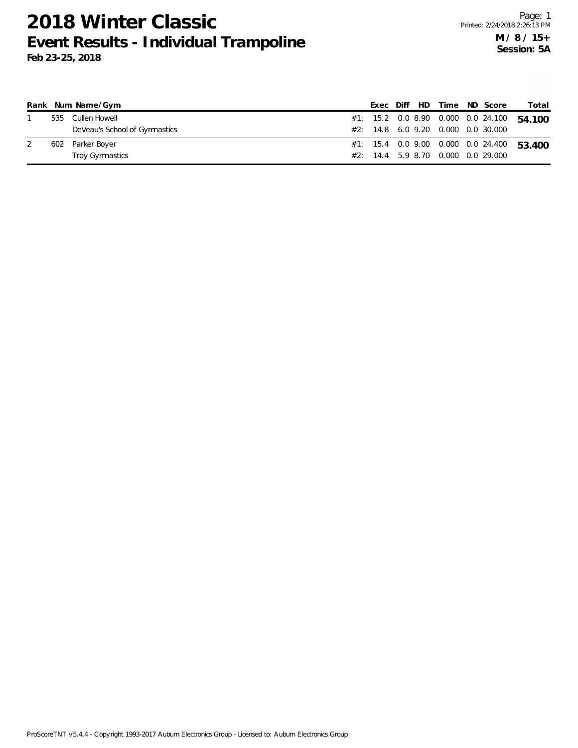|  | Rank Num Name/Gym             |  |  |  | Exec Diff HD Time ND Score         | Total                                     |
|--|-------------------------------|--|--|--|------------------------------------|-------------------------------------------|
|  | 535 Cullen Howell             |  |  |  |                                    | #1: 15.2 0.0 8.90 0.000 0.0 24.100 54.100 |
|  | DeVeau's School of Gymnastics |  |  |  | #2: 14.8 6.0 9.20 0.000 0.0 30.000 |                                           |
|  | 602 Parker Boyer              |  |  |  |                                    | #1: 15.4 0.0 9.00 0.000 0.0 24.400 53.400 |
|  | Troy Gymnastics               |  |  |  | #2: 14.4 5.9 8.70 0.000 0.0 29.000 |                                           |